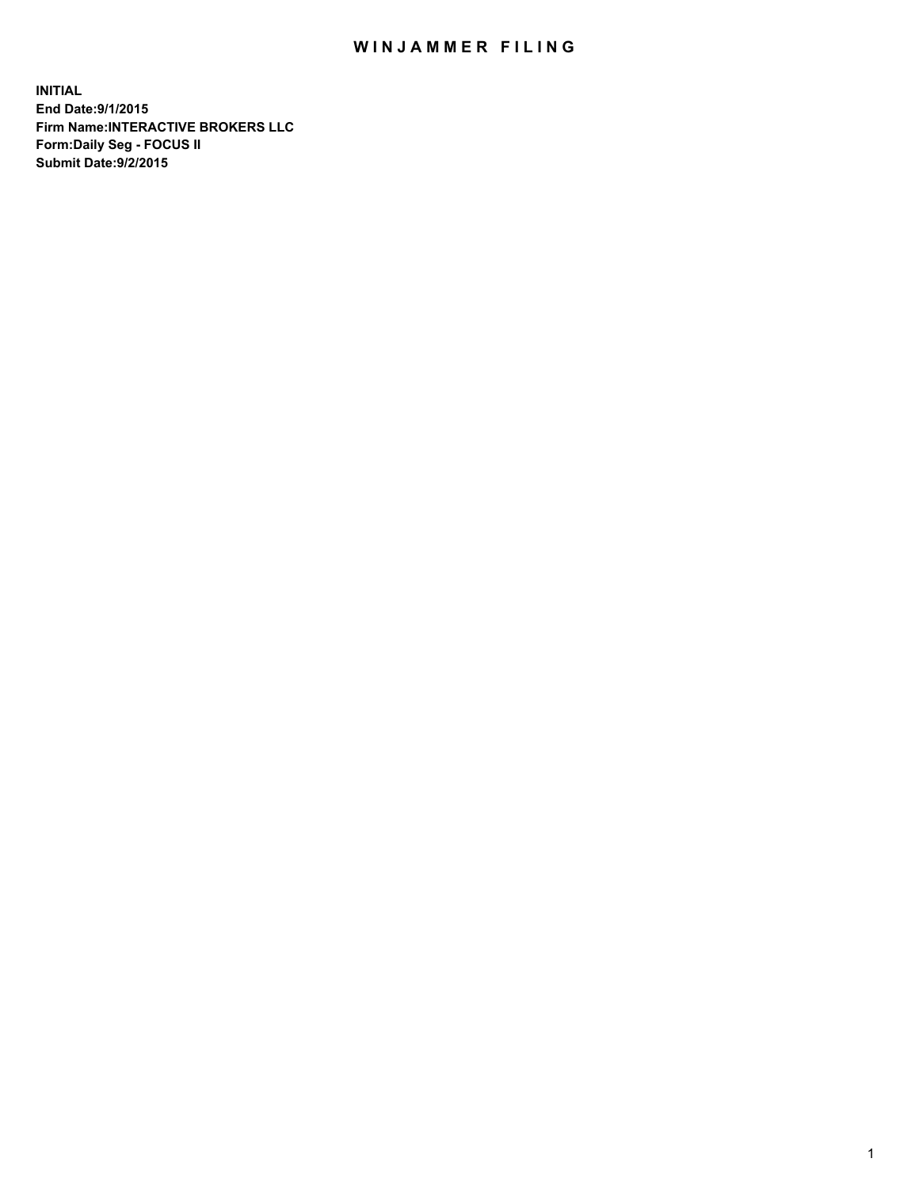## WIN JAMMER FILING

**INITIAL End Date:9/1/2015 Firm Name:INTERACTIVE BROKERS LLC Form:Daily Seg - FOCUS II Submit Date:9/2/2015**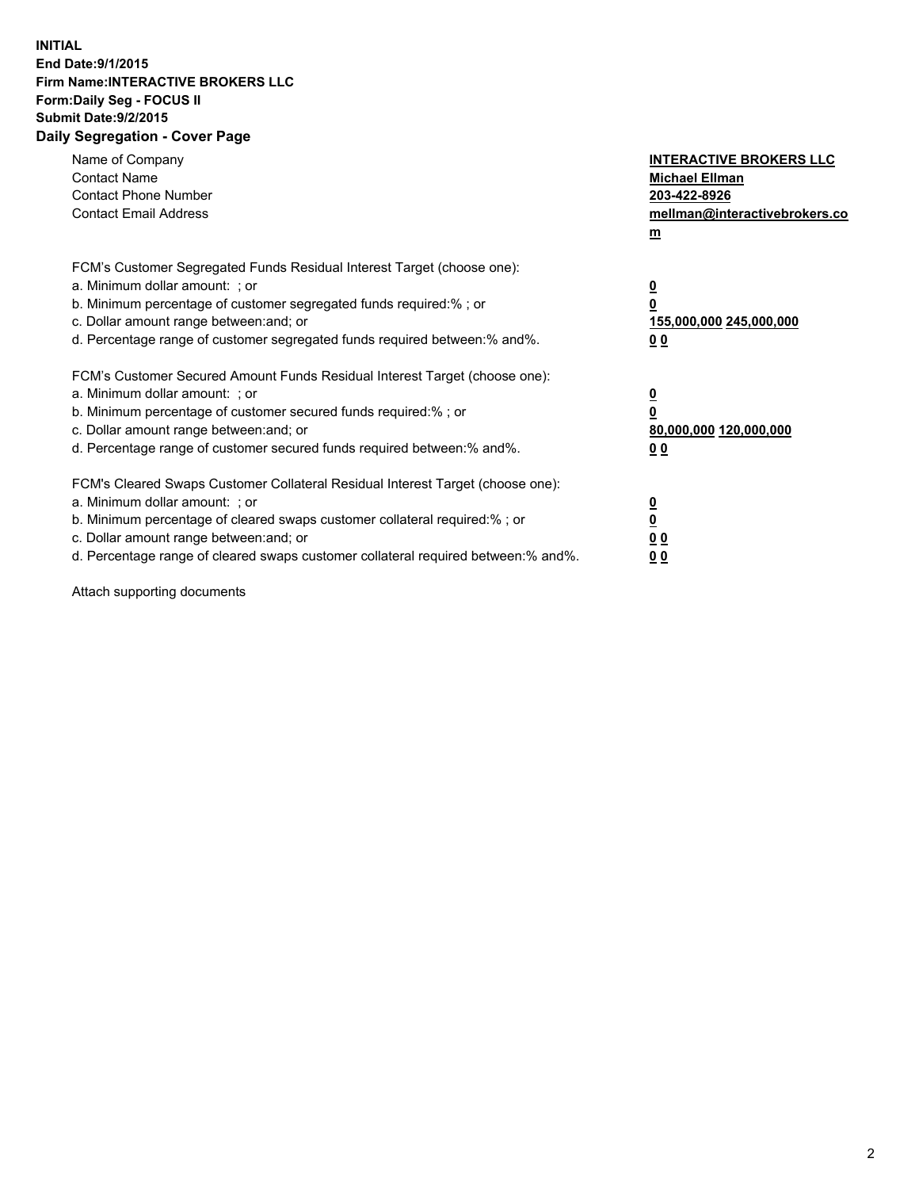## **INITIAL End Date:9/1/2015 Firm Name:INTERACTIVE BROKERS LLC Form:Daily Seg - FOCUS II Submit Date:9/2/2015 Daily Segregation - Cover Page**

| Name of Company<br><b>Contact Name</b><br><b>Contact Phone Number</b><br><b>Contact Email Address</b>                                                                                                                                                                                                                          | <b>INTERACTIVE BROKERS LLC</b><br><b>Michael Ellman</b><br>203-422-8926<br>mellman@interactivebrokers.co<br>$\mathbf{m}$ |
|--------------------------------------------------------------------------------------------------------------------------------------------------------------------------------------------------------------------------------------------------------------------------------------------------------------------------------|--------------------------------------------------------------------------------------------------------------------------|
| FCM's Customer Segregated Funds Residual Interest Target (choose one):<br>a. Minimum dollar amount: ; or<br>b. Minimum percentage of customer segregated funds required:% ; or<br>c. Dollar amount range between: and; or<br>d. Percentage range of customer segregated funds required between: % and %.                       | $\overline{\mathbf{0}}$<br>0<br>155,000,000 245,000,000<br>0 <sub>0</sub>                                                |
| FCM's Customer Secured Amount Funds Residual Interest Target (choose one):<br>a. Minimum dollar amount: ; or<br>b. Minimum percentage of customer secured funds required:%; or<br>c. Dollar amount range between: and; or<br>d. Percentage range of customer secured funds required between:% and%.                            | $\overline{\mathbf{0}}$<br>0<br>80,000,000 120,000,000<br>0 <sub>0</sub>                                                 |
| FCM's Cleared Swaps Customer Collateral Residual Interest Target (choose one):<br>a. Minimum dollar amount: ; or<br>b. Minimum percentage of cleared swaps customer collateral required:% ; or<br>c. Dollar amount range between: and; or<br>d. Percentage range of cleared swaps customer collateral required between:% and%. | $\overline{\mathbf{0}}$<br>$\overline{\mathbf{0}}$<br>0 <sub>0</sub><br>0 <sup>0</sup>                                   |

Attach supporting documents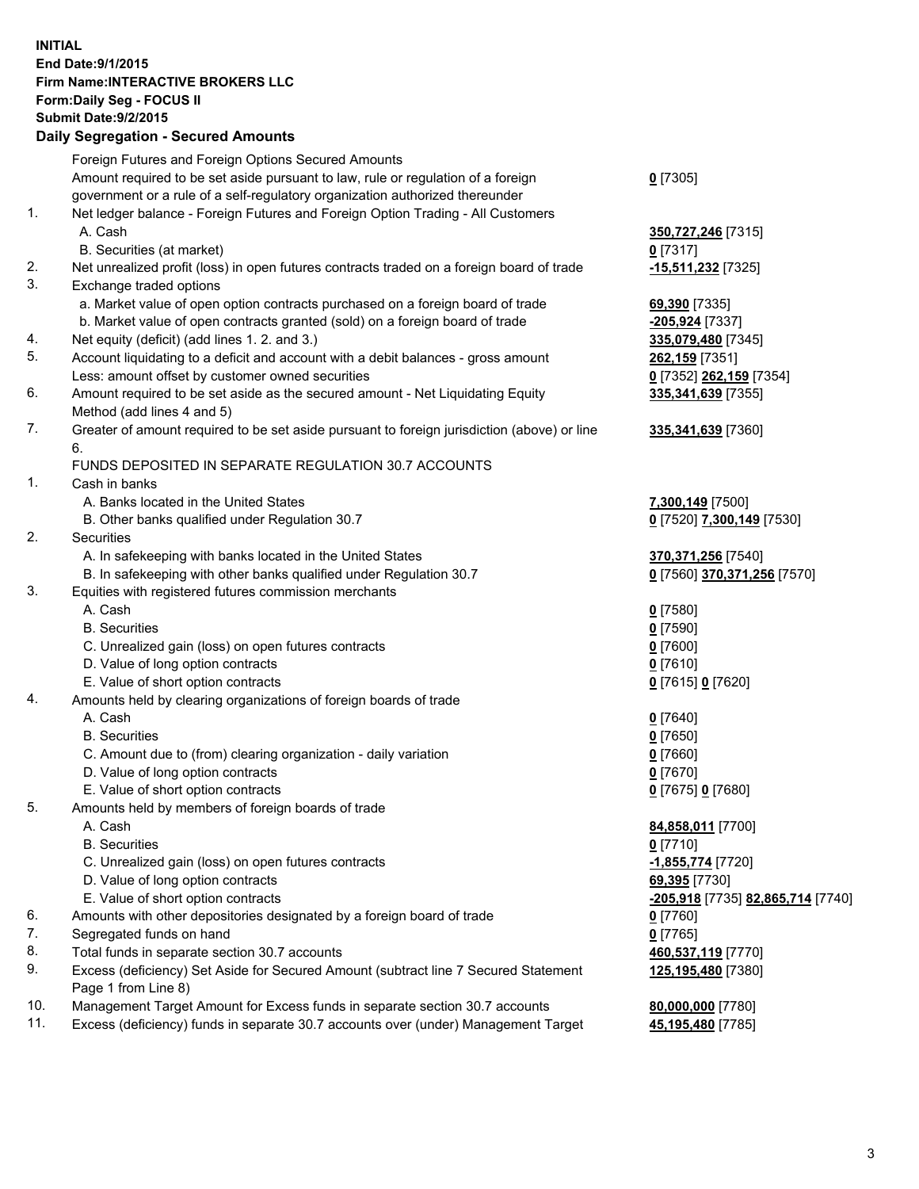## **INITIAL End Date:9/1/2015 Firm Name:INTERACTIVE BROKERS LLC Form:Daily Seg - FOCUS II Submit Date:9/2/2015 Daily Segregation - Secured Amounts**

|     | Foreign Futures and Foreign Options Secured Amounts                                         |                                   |
|-----|---------------------------------------------------------------------------------------------|-----------------------------------|
|     | Amount required to be set aside pursuant to law, rule or regulation of a foreign            | $0$ [7305]                        |
|     | government or a rule of a self-regulatory organization authorized thereunder                |                                   |
| 1.  | Net ledger balance - Foreign Futures and Foreign Option Trading - All Customers             |                                   |
|     | A. Cash                                                                                     | 350,727,246 [7315]                |
|     | B. Securities (at market)                                                                   | $0$ [7317]                        |
| 2.  | Net unrealized profit (loss) in open futures contracts traded on a foreign board of trade   | -15,511,232 [7325]                |
| 3.  | Exchange traded options                                                                     |                                   |
|     | a. Market value of open option contracts purchased on a foreign board of trade              | 69,390 [7335]                     |
|     | b. Market value of open contracts granted (sold) on a foreign board of trade                | -205,924 [7337]                   |
| 4.  | Net equity (deficit) (add lines 1.2. and 3.)                                                | 335,079,480 [7345]                |
| 5.  | Account liquidating to a deficit and account with a debit balances - gross amount           | 262,159 [7351]                    |
|     |                                                                                             |                                   |
|     | Less: amount offset by customer owned securities                                            | 0 [7352] 262,159 [7354]           |
| 6.  | Amount required to be set aside as the secured amount - Net Liquidating Equity              | 335,341,639 [7355]                |
|     | Method (add lines 4 and 5)                                                                  |                                   |
| 7.  | Greater of amount required to be set aside pursuant to foreign jurisdiction (above) or line | 335,341,639 [7360]                |
|     | 6.                                                                                          |                                   |
|     | FUNDS DEPOSITED IN SEPARATE REGULATION 30.7 ACCOUNTS                                        |                                   |
| 1.  | Cash in banks                                                                               |                                   |
|     | A. Banks located in the United States                                                       | 7,300,149 [7500]                  |
|     | B. Other banks qualified under Regulation 30.7                                              | 0 [7520] 7,300,149 [7530]         |
| 2.  | Securities                                                                                  |                                   |
|     | A. In safekeeping with banks located in the United States                                   | 370,371,256 [7540]                |
|     | B. In safekeeping with other banks qualified under Regulation 30.7                          | 0 [7560] 370,371,256 [7570]       |
| 3.  | Equities with registered futures commission merchants                                       |                                   |
|     | A. Cash                                                                                     | $0$ [7580]                        |
|     | <b>B.</b> Securities                                                                        | $0$ [7590]                        |
|     | C. Unrealized gain (loss) on open futures contracts                                         | $0$ [7600]                        |
|     | D. Value of long option contracts                                                           | $0$ [7610]                        |
|     | E. Value of short option contracts                                                          | 0 [7615] 0 [7620]                 |
| 4.  | Amounts held by clearing organizations of foreign boards of trade                           |                                   |
|     | A. Cash                                                                                     | $0$ [7640]                        |
|     | <b>B.</b> Securities                                                                        | $0$ [7650]                        |
|     | C. Amount due to (from) clearing organization - daily variation                             | $0$ [7660]                        |
|     | D. Value of long option contracts                                                           | $0$ [7670]                        |
|     | E. Value of short option contracts                                                          | 0 [7675] 0 [7680]                 |
| 5.  | Amounts held by members of foreign boards of trade                                          |                                   |
|     | A. Cash                                                                                     | 84,858,011 [7700]                 |
|     | <b>B.</b> Securities                                                                        | $0$ [7710]                        |
|     | C. Unrealized gain (loss) on open futures contracts                                         | -1,855,774 [7720]                 |
|     | D. Value of long option contracts                                                           | 69,395 [7730]                     |
|     | E. Value of short option contracts                                                          | -205,918 [7735] 82,865,714 [7740] |
| 6.  | Amounts with other depositories designated by a foreign board of trade                      | $0$ [7760]                        |
| 7.  | Segregated funds on hand                                                                    | $0$ [7765]                        |
| 8.  |                                                                                             |                                   |
|     | Total funds in separate section 30.7 accounts                                               | 460,537,119 [7770]                |
| 9.  | Excess (deficiency) Set Aside for Secured Amount (subtract line 7 Secured Statement         | 125,195,480 [7380]                |
|     | Page 1 from Line 8)                                                                         |                                   |
| 10. | Management Target Amount for Excess funds in separate section 30.7 accounts                 | 80,000,000 [7780]                 |
| 11. | Excess (deficiency) funds in separate 30.7 accounts over (under) Management Target          | 45,195,480 [7785]                 |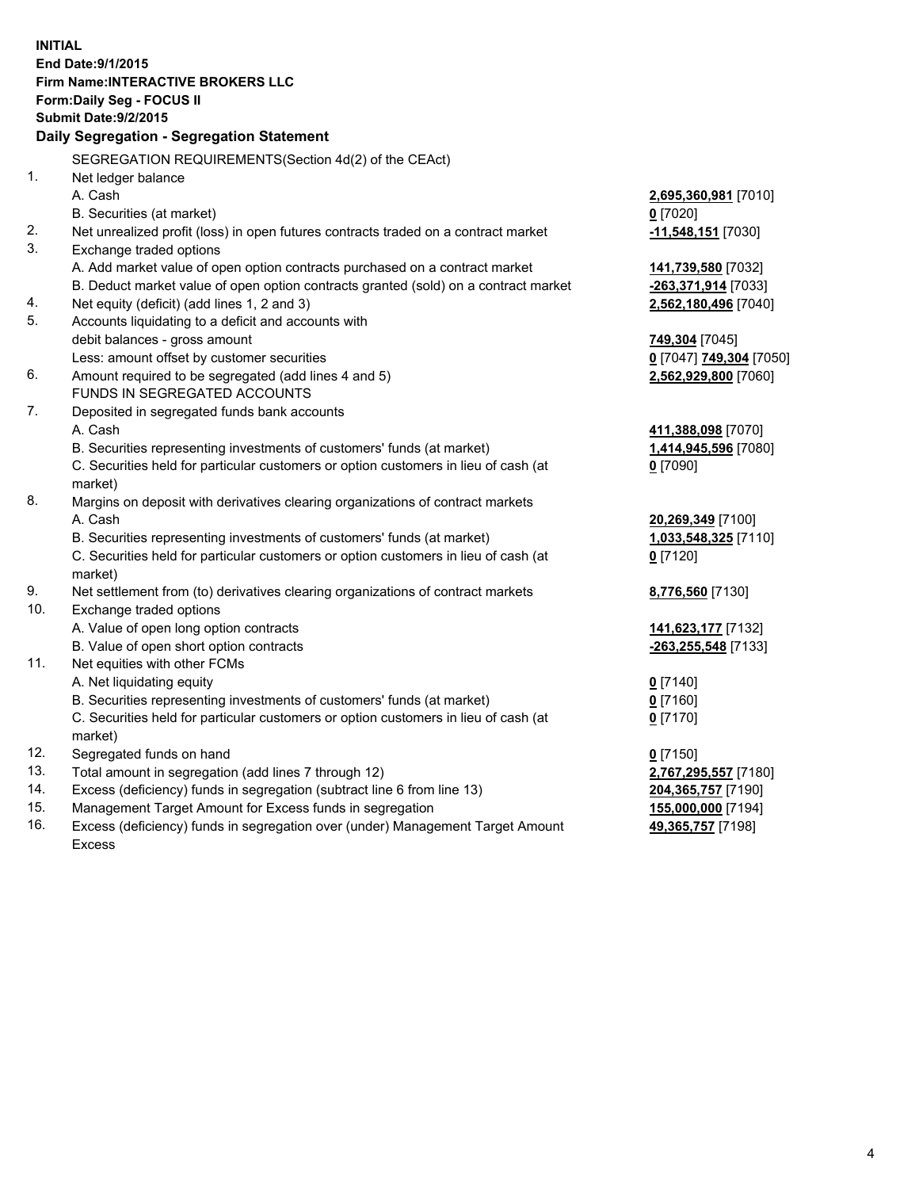**INITIAL End Date:9/1/2015 Firm Name:INTERACTIVE BROKERS LLC Form:Daily Seg - FOCUS II Submit Date:9/2/2015 Daily Segregation - Segregation Statement** SEGREGATION REQUIREMENTS(Section 4d(2) of the CEAct) 1. Net ledger balance A. Cash **2,695,360,981** [7010] B. Securities (at market) **0** [7020] 2. Net unrealized profit (loss) in open futures contracts traded on a contract market **-11,548,151** [7030] 3. Exchange traded options A. Add market value of open option contracts purchased on a contract market **141,739,580** [7032] B. Deduct market value of open option contracts granted (sold) on a contract market **-263,371,914** [7033] 4. Net equity (deficit) (add lines 1, 2 and 3) **2,562,180,496** [7040] 5. Accounts liquidating to a deficit and accounts with debit balances - gross amount **749,304** [7045] Less: amount offset by customer securities **0** [7047] **749,304** [7050] 6. Amount required to be segregated (add lines 4 and 5) **2,562,929,800** [7060] FUNDS IN SEGREGATED ACCOUNTS 7. Deposited in segregated funds bank accounts A. Cash **411,388,098** [7070] B. Securities representing investments of customers' funds (at market) **1,414,945,596** [7080] C. Securities held for particular customers or option customers in lieu of cash (at market) **0** [7090] 8. Margins on deposit with derivatives clearing organizations of contract markets A. Cash **20,269,349** [7100] B. Securities representing investments of customers' funds (at market) **1,033,548,325** [7110] C. Securities held for particular customers or option customers in lieu of cash (at market) **0** [7120] 9. Net settlement from (to) derivatives clearing organizations of contract markets **8,776,560** [7130] 10. Exchange traded options A. Value of open long option contracts **141,623,177** [7132] B. Value of open short option contracts **-263,255,548** [7133] 11. Net equities with other FCMs A. Net liquidating equity **0** [7140] B. Securities representing investments of customers' funds (at market) **0** [7160] C. Securities held for particular customers or option customers in lieu of cash (at market) **0** [7170] 12. Segregated funds on hand **0** [7150] 13. Total amount in segregation (add lines 7 through 12) **2,767,295,557** [7180] 14. Excess (deficiency) funds in segregation (subtract line 6 from line 13) **204,365,757** [7190] 15. Management Target Amount for Excess funds in segregation **155,000,000** [7194] **49,365,757** [7198]

16. Excess (deficiency) funds in segregation over (under) Management Target Amount Excess